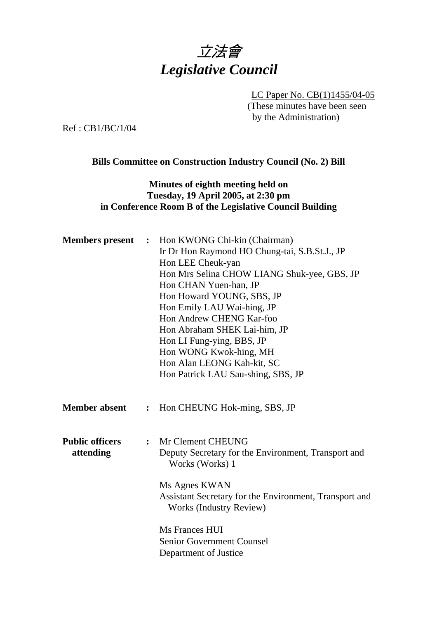

LC Paper No. CB(1)1455/04-05 (These minutes have been seen by the Administration)

Ref : CB1/BC/1/04

### **Bills Committee on Construction Industry Council (No. 2) Bill**

# **Minutes of eighth meeting held on Tuesday, 19 April 2005, at 2:30 pm in Conference Room B of the Legislative Council Building**

| <b>Members</b> present |                | : Hon KWONG Chi-kin (Chairman)                         |
|------------------------|----------------|--------------------------------------------------------|
|                        |                | Ir Dr Hon Raymond HO Chung-tai, S.B.St.J., JP          |
|                        |                | Hon LEE Cheuk-yan                                      |
|                        |                | Hon Mrs Selina CHOW LIANG Shuk-yee, GBS, JP            |
|                        |                | Hon CHAN Yuen-han, JP                                  |
|                        |                | Hon Howard YOUNG, SBS, JP                              |
|                        |                | Hon Emily LAU Wai-hing, JP                             |
|                        |                | Hon Andrew CHENG Kar-foo                               |
|                        |                | Hon Abraham SHEK Lai-him, JP                           |
|                        |                | Hon LI Fung-ying, BBS, JP                              |
|                        |                | Hon WONG Kwok-hing, MH                                 |
|                        |                | Hon Alan LEONG Kah-kit, SC                             |
|                        |                | Hon Patrick LAU Sau-shing, SBS, JP                     |
|                        |                |                                                        |
|                        |                |                                                        |
| <b>Member absent</b>   | $\ddot{\cdot}$ | Hon CHEUNG Hok-ming, SBS, JP                           |
|                        |                |                                                        |
|                        |                |                                                        |
| <b>Public officers</b> | $\ddot{\cdot}$ | Mr Clement CHEUNG                                      |
| attending              |                | Deputy Secretary for the Environment, Transport and    |
|                        |                | Works (Works) 1                                        |
|                        |                |                                                        |
|                        |                | Ms Agnes KWAN                                          |
|                        |                | Assistant Secretary for the Environment, Transport and |
|                        |                | Works (Industry Review)                                |
|                        |                |                                                        |
|                        |                | Ms Frances HUI                                         |
|                        |                | <b>Senior Government Counsel</b>                       |
|                        |                | Department of Justice                                  |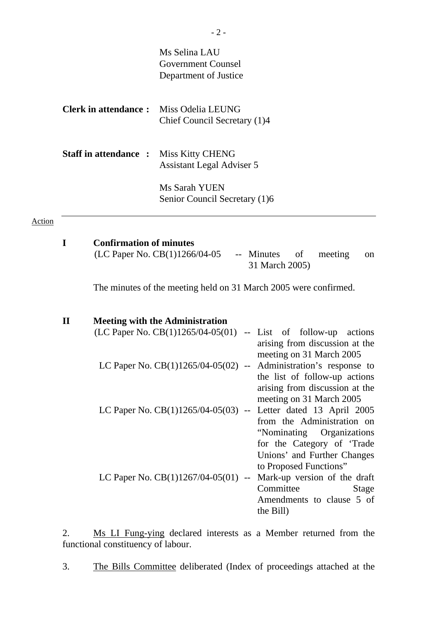|               |              |                                | Ms Selina LAU<br><b>Government Counsel</b><br>Department of Justice                                                                                                                                                                                                                   |
|---------------|--------------|--------------------------------|---------------------------------------------------------------------------------------------------------------------------------------------------------------------------------------------------------------------------------------------------------------------------------------|
|               |              | <b>Clerk in attendance:</b>    | Miss Odelia LEUNG<br>Chief Council Secretary (1)4                                                                                                                                                                                                                                     |
|               |              | <b>Staff in attendance:</b>    | Miss Kitty CHENG<br><b>Assistant Legal Adviser 5</b>                                                                                                                                                                                                                                  |
|               |              |                                | Ms Sarah YUEN<br>Senior Council Secretary (1)6                                                                                                                                                                                                                                        |
| <b>Action</b> |              |                                |                                                                                                                                                                                                                                                                                       |
|               | I            | <b>Confirmation of minutes</b> | (LC Paper No. CB(1)1266/04-05<br>of<br>-- Minutes<br>meeting<br>on<br>31 March 2005)                                                                                                                                                                                                  |
|               |              |                                | The minutes of the meeting held on 31 March 2005 were confirmed.                                                                                                                                                                                                                      |
|               | $\mathbf{I}$ |                                | <b>Meeting with the Administration</b><br>$(LC$ Paper No. $CB(1)1265/04-05(01)$ -- List of follow-up<br>actions                                                                                                                                                                       |
|               |              |                                | arising from discussion at the<br>meeting on 31 March 2005<br>LC Paper No. $CB(1)1265/04-05(02)$ -- Administration's response to<br>the list of follow-up actions                                                                                                                     |
|               |              |                                | arising from discussion at the<br>meeting on 31 March 2005<br>LC Paper No. $CB(1)1265/04-05(03)$<br>Letter dated 13 April 2005<br>$\overline{\phantom{a}}$<br>from the Administration on<br>"Nominating<br>Organizations<br>for the Category of 'Trade<br>Unions' and Further Changes |
|               |              |                                | to Proposed Functions"                                                                                                                                                                                                                                                                |

LC Paper No.  $CB(1)1267/04-05(01)$  -- Mark-up version of the draft Committee Stage Amendments to clause 5 of the Bill)

2. Ms LI Fung-ying declared interests as a Member returned from the functional constituency of labour.

3. The Bills Committee deliberated (Index of proceedings attached at the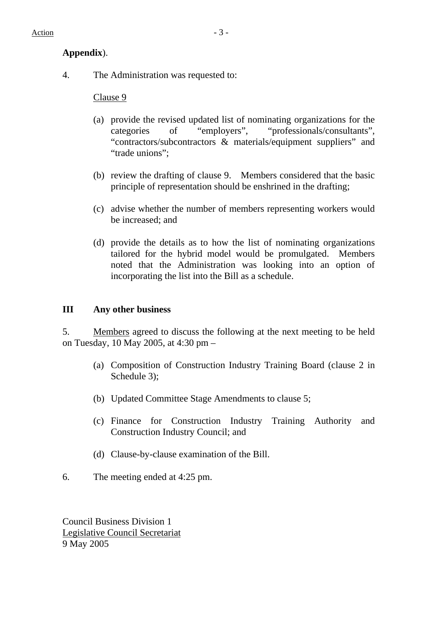# **Appendix**).

4. The Administration was requested to:

Clause 9

- (a) provide the revised updated list of nominating organizations for the categories of "employers", "professionals/consultants", "contractors/subcontractors & materials/equipment suppliers" and "trade unions":
- (b) review the drafting of clause 9. Members considered that the basic principle of representation should be enshrined in the drafting;
- (c) advise whether the number of members representing workers would be increased; and
- (d) provide the details as to how the list of nominating organizations tailored for the hybrid model would be promulgated. Members noted that the Administration was looking into an option of incorporating the list into the Bill as a schedule.

# **III Any other business**

5. Members agreed to discuss the following at the next meeting to be held on Tuesday, 10 May 2005, at 4:30 pm –

- (a) Composition of Construction Industry Training Board (clause 2 in Schedule 3);
- (b) Updated Committee Stage Amendments to clause 5;
- (c) Finance for Construction Industry Training Authority and Construction Industry Council; and
- (d) Clause-by-clause examination of the Bill.
- 6. The meeting ended at 4:25 pm.

Council Business Division 1 Legislative Council Secretariat 9 May 2005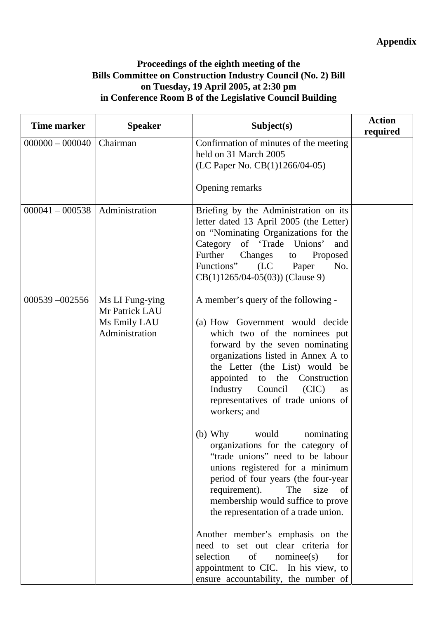# **Proceedings of the eighth meeting of the Bills Committee on Construction Industry Council (No. 2) Bill on Tuesday, 19 April 2005, at 2:30 pm in Conference Room B of the Legislative Council Building**

| Time marker       | <b>Speaker</b>                                                      | Subject(s)                                                                                                                                                                                                                                                                                                                                                                                                                                                                                                                                                                                                                                                                                                                                                                                                                                               | <b>Action</b><br>required |
|-------------------|---------------------------------------------------------------------|----------------------------------------------------------------------------------------------------------------------------------------------------------------------------------------------------------------------------------------------------------------------------------------------------------------------------------------------------------------------------------------------------------------------------------------------------------------------------------------------------------------------------------------------------------------------------------------------------------------------------------------------------------------------------------------------------------------------------------------------------------------------------------------------------------------------------------------------------------|---------------------------|
| $000000 - 000040$ | Chairman                                                            | Confirmation of minutes of the meeting<br>held on 31 March 2005<br>(LC Paper No. CB(1)1266/04-05)                                                                                                                                                                                                                                                                                                                                                                                                                                                                                                                                                                                                                                                                                                                                                        |                           |
|                   |                                                                     | Opening remarks                                                                                                                                                                                                                                                                                                                                                                                                                                                                                                                                                                                                                                                                                                                                                                                                                                          |                           |
| $000041 - 000538$ | Administration                                                      | Briefing by the Administration on its<br>letter dated 13 April 2005 (the Letter)<br>on "Nominating Organizations for the<br>Category of 'Trade Unions'<br>and<br>Further<br>Changes to<br>Proposed<br>Functions"<br>(LC Paper<br>No.<br>$CB(1)1265/04-05(03))$ (Clause 9)                                                                                                                                                                                                                                                                                                                                                                                                                                                                                                                                                                                |                           |
| $000539 - 002556$ | Ms LI Fung-ying<br>Mr Patrick LAU<br>Ms Emily LAU<br>Administration | A member's query of the following -<br>(a) How Government would decide<br>which two of the nominees put<br>forward by the seven nominating<br>organizations listed in Annex A to<br>the Letter (the List) would be<br>appointed to the Construction<br>Industry<br>Council<br>(CIC)<br>as<br>representatives of trade unions of<br>workers; and<br>(b) Why would<br>nominating<br>organizations for the category of<br>"trade unions" need to be labour<br>unions registered for a minimum<br>period of four years (the four-year<br>requirement).<br>The<br>size<br>of<br>membership would suffice to prove<br>the representation of a trade union.<br>Another member's emphasis on the<br>need to set out clear criteria<br>for<br>selection<br>for<br>of<br>nominee(s)<br>appointment to CIC. In his view, to<br>ensure accountability, the number of |                           |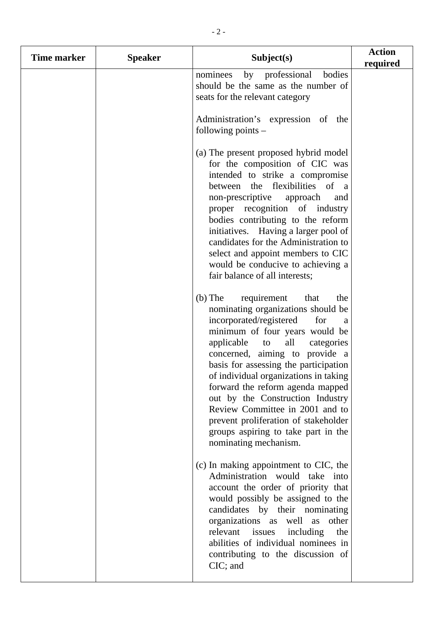| Time marker | <b>Speaker</b> | Subject(s)                                                                                                                                                                                                                                                                                                                                                                                                                                                                                                                             | <b>Action</b><br>required |
|-------------|----------------|----------------------------------------------------------------------------------------------------------------------------------------------------------------------------------------------------------------------------------------------------------------------------------------------------------------------------------------------------------------------------------------------------------------------------------------------------------------------------------------------------------------------------------------|---------------------------|
|             |                | by professional<br>bodies<br>nominees<br>should be the same as the number of<br>seats for the relevant category                                                                                                                                                                                                                                                                                                                                                                                                                        |                           |
|             |                | Administration's expression of the<br>following points $-$                                                                                                                                                                                                                                                                                                                                                                                                                                                                             |                           |
|             |                | (a) The present proposed hybrid model<br>for the composition of CIC was<br>intended to strike a compromise<br>between the flexibilities of a<br>non-prescriptive<br>approach<br>and<br>proper recognition of industry<br>bodies contributing to the reform<br>initiatives. Having a larger pool of<br>candidates for the Administration to<br>select and appoint members to CIC<br>would be conducive to achieving a<br>fair balance of all interests;                                                                                 |                           |
|             |                | $(b)$ The<br>requirement<br>that<br>the<br>nominating organizations should be<br>incorporated/registered<br>for<br>a<br>minimum of four years would be<br>all<br>applicable<br>categories<br>to<br>concerned, aiming to provide a<br>basis for assessing the participation<br>of individual organizations in taking<br>forward the reform agenda mapped<br>out by the Construction Industry<br>Review Committee in 2001 and to<br>prevent proliferation of stakeholder<br>groups aspiring to take part in the<br>nominating mechanism. |                           |
|             |                | (c) In making appointment to CIC, the<br>Administration would take into<br>account the order of priority that<br>would possibly be assigned to the<br>candidates by their nominating<br>organizations as well as<br>other<br>relevant issues<br>including<br>the<br>abilities of individual nominees in<br>contributing to the discussion of<br>CIC; and                                                                                                                                                                               |                           |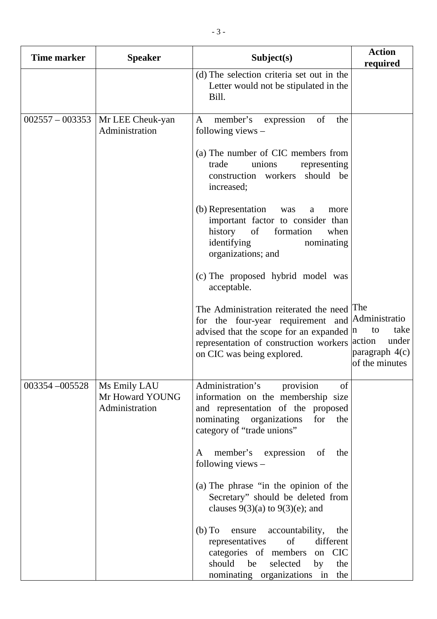| <b>Time marker</b> | <b>Speaker</b>                                    | Subject(s)                                                                                                                                                                                                                   | <b>Action</b><br>required                                 |
|--------------------|---------------------------------------------------|------------------------------------------------------------------------------------------------------------------------------------------------------------------------------------------------------------------------------|-----------------------------------------------------------|
|                    |                                                   | (d) The selection criteria set out in the<br>Letter would not be stipulated in the<br>Bill.                                                                                                                                  |                                                           |
| $002557 - 003353$  | Mr LEE Cheuk-yan<br>Administration                | member's expression<br>of<br>A<br>the<br>following views $-$                                                                                                                                                                 |                                                           |
|                    |                                                   | (a) The number of CIC members from<br>trade<br>unions<br>representing<br>construction workers<br>should be<br>increased;                                                                                                     |                                                           |
|                    |                                                   | (b) Representation<br>was<br>a<br>more<br>important factor to consider than<br>history<br>of<br>formation<br>when<br>identifying<br>nominating<br>organizations; and                                                         |                                                           |
|                    |                                                   | (c) The proposed hybrid model was<br>acceptable.                                                                                                                                                                             |                                                           |
|                    |                                                   | The Administration reiterated the need The<br>for the four-year requirement and Administratio<br>advised that the scope for an expanded $ n $<br>representation of construction workers action<br>on CIC was being explored. | take<br>to<br>under<br>paragraph $4(c)$<br>of the minutes |
| 003354-005528      | Ms Emily LAU<br>Mr Howard YOUNG<br>Administration | Administration's<br>provision<br>of<br>information on the membership size<br>and representation of the proposed<br>nominating organizations<br>for<br>the<br>category of "trade unions"                                      |                                                           |
|                    |                                                   | member's expression of<br>the<br>A<br>following views $-$                                                                                                                                                                    |                                                           |
|                    |                                                   | (a) The phrase "in the opinion of the<br>Secretary" should be deleted from<br>clauses $9(3)(a)$ to $9(3)(e)$ ; and                                                                                                           |                                                           |
|                    |                                                   | (b) To ensure accountability,<br>the<br>of<br>different<br>representatives<br>categories of members<br><b>CIC</b><br>on<br>be<br>selected<br>should<br>the<br>by<br>nominating organizations in the                          |                                                           |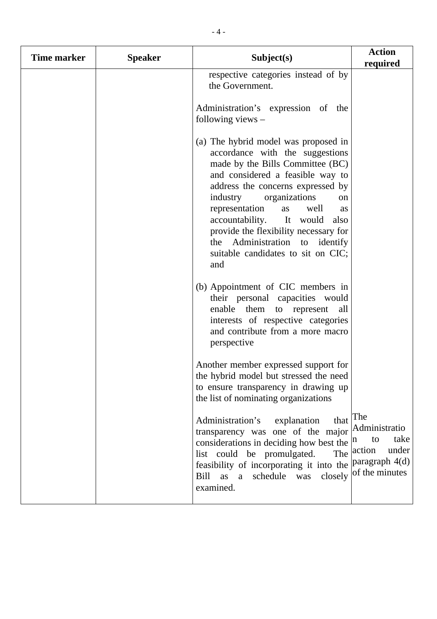| <b>Time marker</b> | <b>Speaker</b> | Subject(s)                                                                                                                                                                                                                                                                                                                                                                                                                | <b>Action</b><br>required                                             |
|--------------------|----------------|---------------------------------------------------------------------------------------------------------------------------------------------------------------------------------------------------------------------------------------------------------------------------------------------------------------------------------------------------------------------------------------------------------------------------|-----------------------------------------------------------------------|
|                    |                | respective categories instead of by<br>the Government.                                                                                                                                                                                                                                                                                                                                                                    |                                                                       |
|                    |                | Administration's expression of the<br>following views $-$                                                                                                                                                                                                                                                                                                                                                                 |                                                                       |
|                    |                | (a) The hybrid model was proposed in<br>accordance with the suggestions<br>made by the Bills Committee (BC)<br>and considered a feasible way to<br>address the concerns expressed by<br>industry organizations<br>on<br>representation<br>well<br>as<br>as<br>It would<br>accountability.<br>also<br>provide the flexibility necessary for<br>the Administration to identify<br>suitable candidates to sit on CIC;<br>and |                                                                       |
|                    |                | (b) Appointment of CIC members in<br>their personal capacities would<br>enable them to represent<br>all<br>interests of respective categories<br>and contribute from a more macro<br>perspective                                                                                                                                                                                                                          |                                                                       |
|                    |                | Another member expressed support for<br>the hybrid model but stressed the need<br>to ensure transparency in drawing up<br>the list of nominating organizations                                                                                                                                                                                                                                                            |                                                                       |
|                    |                | that The<br>Administration's<br>explanation<br>transparency was one of the major Administratio<br>considerations in deciding how best the $ n\rangle$<br>list could be promulgated.<br>feasibility of incorporating it into the<br>schedule<br>closely<br>was<br>Bill<br>as<br>a<br>examined.                                                                                                                             | take<br>to<br>under<br>The action<br>paragraph 4(d)<br>of the minutes |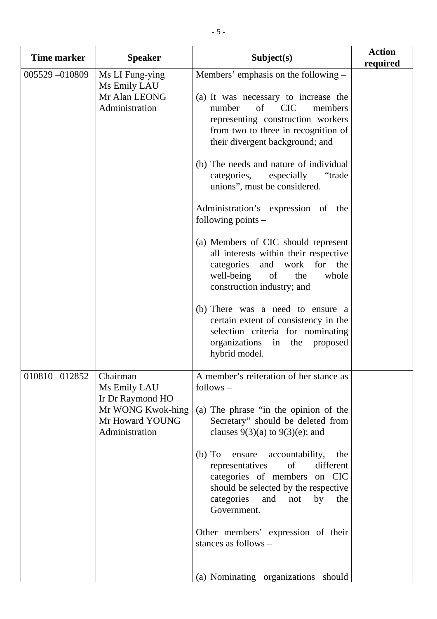| <b>Time marker</b> | <b>Speaker</b>                                                                                         | Subject(s)                                                                                                                                                                                                                                                                                                                                                                                                                                                                                                                                                                                                                                                                                                                                                                 | <b>Action</b><br>required |
|--------------------|--------------------------------------------------------------------------------------------------------|----------------------------------------------------------------------------------------------------------------------------------------------------------------------------------------------------------------------------------------------------------------------------------------------------------------------------------------------------------------------------------------------------------------------------------------------------------------------------------------------------------------------------------------------------------------------------------------------------------------------------------------------------------------------------------------------------------------------------------------------------------------------------|---------------------------|
| 005529-010809      | Ms LI Fung-ying<br>Ms Emily LAU<br>Mr Alan LEONG<br>Administration                                     | Members' emphasis on the following –<br>(a) It was necessary to increase the<br>of CIC<br>number<br>members<br>representing construction workers<br>from two to three in recognition of<br>their divergent background; and<br>(b) The needs and nature of individual<br>categories,<br>"trade"<br>especially<br>unions", must be considered.<br>Administration's expression of the<br>following points $-$<br>(a) Members of CIC should represent<br>all interests within their respective<br>categories<br>and<br>work<br>for the<br>well-being<br>of<br>the<br>whole<br>construction industry; and<br>(b) There was a need to ensure a<br>certain extent of consistency in the<br>selection criteria for nominating<br>organizations in the<br>proposed<br>hybrid model. |                           |
| 010810-012852      | Chairman<br>Ms Emily LAU<br>Ir Dr Raymond HO<br>Mr WONG Kwok-hing<br>Mr Howard YOUNG<br>Administration | A member's reiteration of her stance as<br>follows –<br>(a) The phrase "in the opinion of the<br>Secretary" should be deleted from<br>clauses $9(3)(a)$ to $9(3)(e)$ ; and<br>accountability,<br>$(b)$ To<br>ensure<br>the<br>representatives<br>of<br>different<br>categories of members on CIC<br>should be selected by the respective<br>categories<br>and<br>by<br>not<br>the<br>Government.<br>Other members' expression of their<br>stances as follows -<br>(a) Nominating organizations should                                                                                                                                                                                                                                                                      |                           |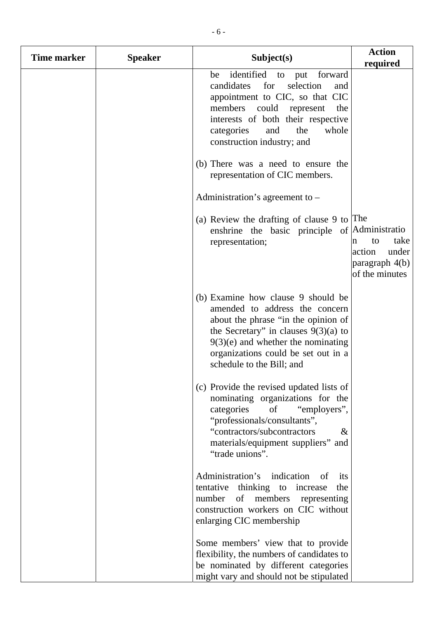| Time marker | <b>Speaker</b> | Subject(s)                                                                                                                                                                                                                                                        | <b>Action</b>                                                          |
|-------------|----------------|-------------------------------------------------------------------------------------------------------------------------------------------------------------------------------------------------------------------------------------------------------------------|------------------------------------------------------------------------|
|             |                | identified<br>to put forward<br>be<br>candidates<br>for<br>selection<br>and<br>appointment to CIC, so that CIC<br>could represent<br>members<br>the<br>interests of both their respective<br>categories<br>and<br>the<br>whole<br>construction industry; and      | required                                                               |
|             |                | (b) There was a need to ensure the<br>representation of CIC members.                                                                                                                                                                                              |                                                                        |
|             |                | Administration's agreement to $-$                                                                                                                                                                                                                                 |                                                                        |
|             |                | (a) Review the drafting of clause 9 to $ $ The<br>enshrine the basic principle of Administratio<br>representation;                                                                                                                                                | take<br>to<br>n<br>action<br>under<br>paragraph 4(b)<br>of the minutes |
|             |                | (b) Examine how clause 9 should be<br>amended to address the concern<br>about the phrase "in the opinion of<br>the Secretary" in clauses $9(3)(a)$ to<br>$9(3)(e)$ and whether the nominating<br>organizations could be set out in a<br>schedule to the Bill; and |                                                                        |
|             |                | (c) Provide the revised updated lists of<br>nominating organizations for the<br>categories<br>of<br>"employers",<br>"professionals/consultants",<br>"contractors/subcontractors<br>$\&$<br>materials/equipment suppliers" and<br>"trade unions".                  |                                                                        |
|             |                | Administration's indication<br>of<br>its<br>tentative thinking to increase<br>the<br>number of<br>members<br>representing<br>construction workers on CIC without<br>enlarging CIC membership                                                                      |                                                                        |
|             |                | Some members' view that to provide<br>flexibility, the numbers of candidates to<br>be nominated by different categories<br>might vary and should not be stipulated                                                                                                |                                                                        |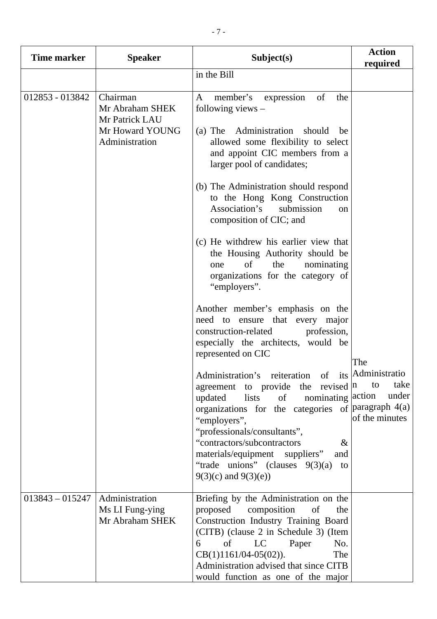| <b>Time marker</b> | <b>Speaker</b>                                                                     | Subject(s)                                                                                                                                                                                                                                                                                                        | <b>Action</b><br>required             |
|--------------------|------------------------------------------------------------------------------------|-------------------------------------------------------------------------------------------------------------------------------------------------------------------------------------------------------------------------------------------------------------------------------------------------------------------|---------------------------------------|
|                    |                                                                                    | in the Bill                                                                                                                                                                                                                                                                                                       |                                       |
| 012853 - 013842    | Chairman<br>Mr Abraham SHEK<br>Mr Patrick LAU<br>Mr Howard YOUNG<br>Administration | member's expression of<br>the<br>A<br>following views $-$<br>(a) The Administration<br>should<br>be<br>allowed some flexibility to select<br>and appoint CIC members from a<br>larger pool of candidates;                                                                                                         |                                       |
|                    |                                                                                    | (b) The Administration should respond<br>to the Hong Kong Construction<br>Association's<br>submission<br><sub>on</sub><br>composition of CIC; and                                                                                                                                                                 |                                       |
|                    |                                                                                    | (c) He withdrew his earlier view that<br>the Housing Authority should be<br>of<br>nominating<br>the<br>one<br>organizations for the category of<br>"employers".                                                                                                                                                   |                                       |
|                    |                                                                                    | Another member's emphasis on the<br>need to ensure that every major<br>construction-related<br>profession,<br>especially the architects, would be<br>represented on CIC                                                                                                                                           | The                                   |
|                    |                                                                                    | Administration's reiteration of its Administratio<br>agreement to provide the revised $ n $<br>nominating action<br>of<br>updated<br>lists<br>organizations for the categories of $\frac{1}{2}$ paragraph 4(a)<br>"employers",<br>"professionals/consultants",                                                    | take<br>to<br>under<br>of the minutes |
|                    |                                                                                    | "contractors/subcontractors<br>&<br>materials/equipment suppliers"<br>and<br>"trade unions" (clauses $9(3)(a)$<br>to<br>$9(3)(c)$ and $9(3)(e)$                                                                                                                                                                   |                                       |
| $013843 - 015247$  | Administration<br>Ms LI Fung-ying<br>Mr Abraham SHEK                               | Briefing by the Administration on the<br>proposed<br>composition<br>of<br>the<br>Construction Industry Training Board<br>(CITB) (clause 2 in Schedule 3) (Item<br>of<br>LC<br>Paper<br>6<br>No.<br>$CB(1)1161/04-05(02)).$<br>The<br>Administration advised that since CITB<br>would function as one of the major |                                       |